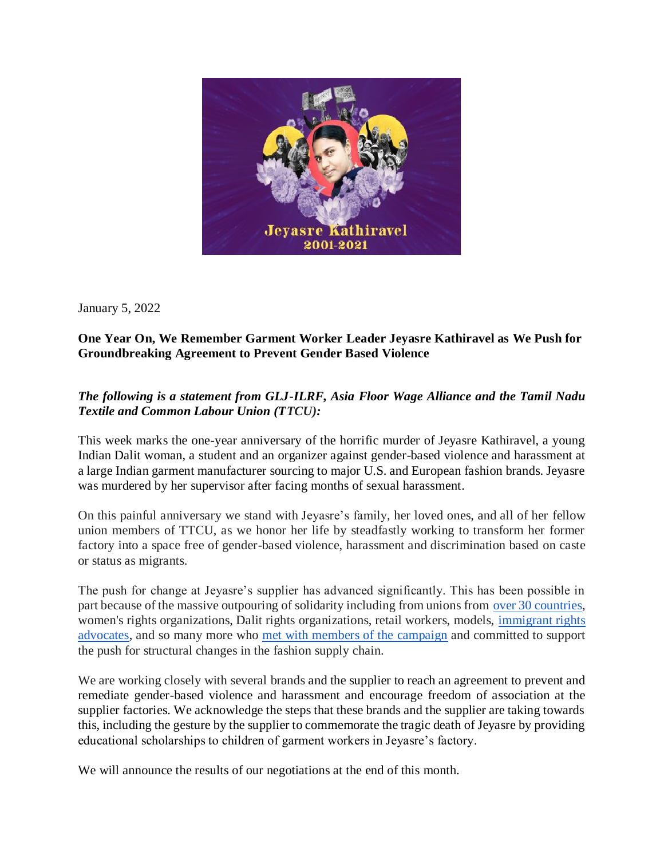

January 5, 2022

## **One Year On, We Remember Garment Worker Leader Jeyasre Kathiravel as We Push for Groundbreaking Agreement to Prevent Gender Based Violence**

## *The following is a statement from GLJ-ILRF, Asia Floor Wage Alliance and the Tamil Nadu Textile and Common Labour Union (TTCU):*

This week marks the one-year anniversary of the horrific murder of Jeyasre Kathiravel, a young Indian Dalit woman, a student and an organizer against gender-based violence and harassment at a large Indian garment manufacturer sourcing to major U.S. and European fashion brands. Jeyasre was murdered by her supervisor after facing months of sexual harassment.

On this painful anniversary we stand with Jeyasre's family, her loved ones, and all of her fellow union members of TTCU, as we honor her life by steadfastly working to transform her former factory into a space free of gender-based violence, harassment and discrimination based on caste or status as migrants.

The push for change at Jeyasre's supplier has advanced significantly. This has been possible in part because of the massive outpouring of solidarity including from unions from [over 30 countries,](https://globallaborjustice.org/justice-for-jeyasre-vigil/) women's rights organizations, Dalit rights organizations, retail workers, models, [immigrant rights](https://msmagazine.com/2021/12/08/metoo-global-south-immigrant-women-sexual-violence-rape-assault/)  [advocates,](https://msmagazine.com/2021/12/08/metoo-global-south-immigrant-women-sexual-violence-rape-assault/) and so many more who [met with members of the campaign](https://justiceforjeyasre.com/speaking-tour/) and committed to support the push for structural changes in the fashion supply chain.

We are working closely with several brands and the supplier to reach an agreement to prevent and remediate gender-based violence and harassment and encourage freedom of association at the supplier factories. We acknowledge the steps that these brands and the supplier are taking towards this, including the gesture by the supplier to commemorate the tragic death of Jeyasre by providing educational scholarships to children of garment workers in Jeyasre's factory.

We will announce the results of our negotiations at the end of this month.